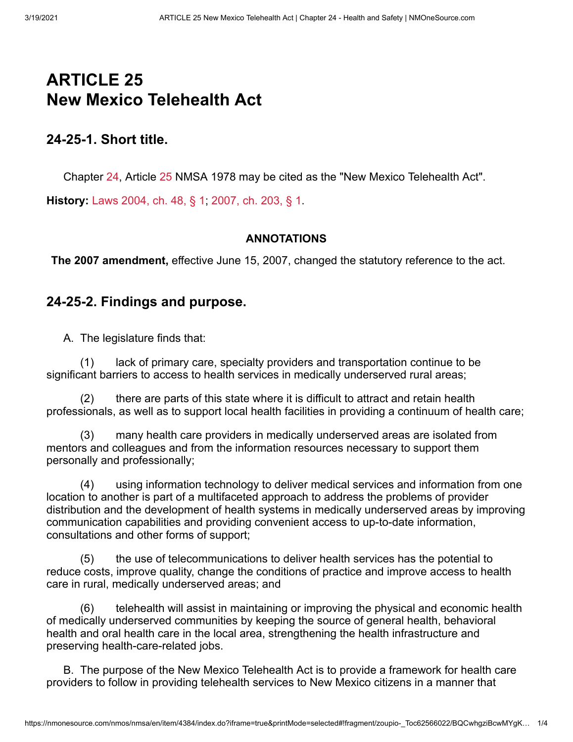# **ARTICLE 25 New Mexico Telehealth Act**

# **24-25-1. Short title.**

Chapter [24,](https://nmonesource.com/nmos/nmsa/en/item/4384/index.do#!b/a25) Article [25](https://nmonesource.com/nmos/nmsa/en/item/4384/index.do#!b/a25) NMSA 1978 may be cited as the "New Mexico Telehealth Act".

**History:** [Laws 2004, ch. 48, § 1](https://nmonesource.com/nmos/nmsl/en/item/4444/index.do#!b/c48s1); [2007, ch. 203, § 1.](https://nmonesource.com/nmos/nmsl/en/item/4465/index.do#!b/c203s1)

#### **ANNOTATIONS**

**The 2007 amendment,** effective June 15, 2007, changed the statutory reference to the act.

### **24-25-2. Findings and purpose.**

A. The legislature finds that:

(1) lack of primary care, specialty providers and transportation continue to be significant barriers to access to health services in medically underserved rural areas;

(2) there are parts of this state where it is difficult to attract and retain health professionals, as well as to support local health facilities in providing a continuum of health care;

(3) many health care providers in medically underserved areas are isolated from mentors and colleagues and from the information resources necessary to support them personally and professionally;

(4) using information technology to deliver medical services and information from one location to another is part of a multifaceted approach to address the problems of provider distribution and the development of health systems in medically underserved areas by improving communication capabilities and providing convenient access to up-to-date information, consultations and other forms of support;

(5) the use of telecommunications to deliver health services has the potential to reduce costs, improve quality, change the conditions of practice and improve access to health care in rural, medically underserved areas; and

(6) telehealth will assist in maintaining or improving the physical and economic health of medically underserved communities by keeping the source of general health, behavioral health and oral health care in the local area, strengthening the health infrastructure and preserving health-care-related jobs.

B. The purpose of the New Mexico Telehealth Act is to provide a framework for health care providers to follow in providing telehealth services to New Mexico citizens in a manner that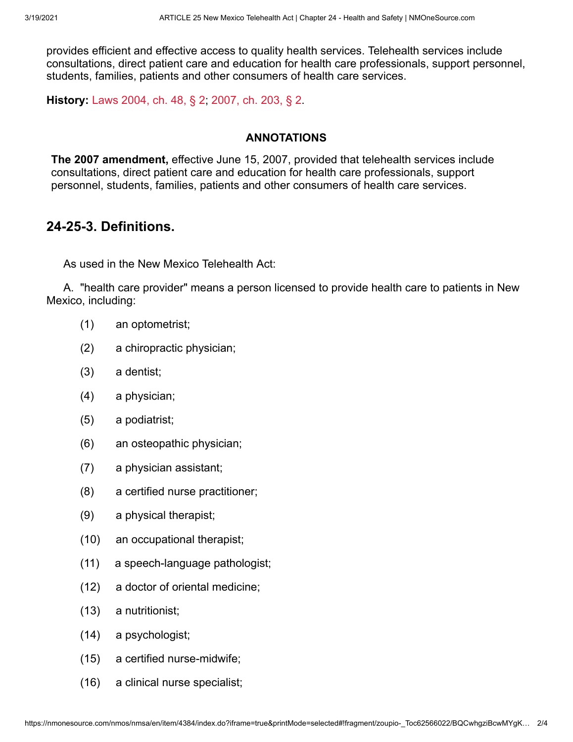provides efficient and effective access to quality health services. Telehealth services include consultations, direct patient care and education for health care professionals, support personnel, students, families, patients and other consumers of health care services.

**History:** [Laws 2004, ch. 48, § 2](https://nmonesource.com/nmos/nmsl/en/item/4444/index.do#!b/c48s2); [2007, ch. 203, § 2.](https://nmonesource.com/nmos/nmsl/en/item/4465/index.do#!b/c203s2)

### **ANNOTATIONS**

**The 2007 amendment,** effective June 15, 2007, provided that telehealth services include consultations, direct patient care and education for health care professionals, support personnel, students, families, patients and other consumers of health care services.

# **24-25-3. Definitions.**

As used in the New Mexico Telehealth Act:

A. "health care provider" means a person licensed to provide health care to patients in New Mexico, including:

- (1) an optometrist;
- (2) a chiropractic physician;
- (3) a dentist;
- (4) a physician;
- (5) a podiatrist;
- (6) an osteopathic physician;
- (7) a physician assistant;
- (8) a certified nurse practitioner;
- (9) a physical therapist;
- (10) an occupational therapist;
- (11) a speech-language pathologist;
- (12) a doctor of oriental medicine;
- (13) a nutritionist;
- (14) a psychologist;
- (15) a certified nurse-midwife;
- (16) a clinical nurse specialist;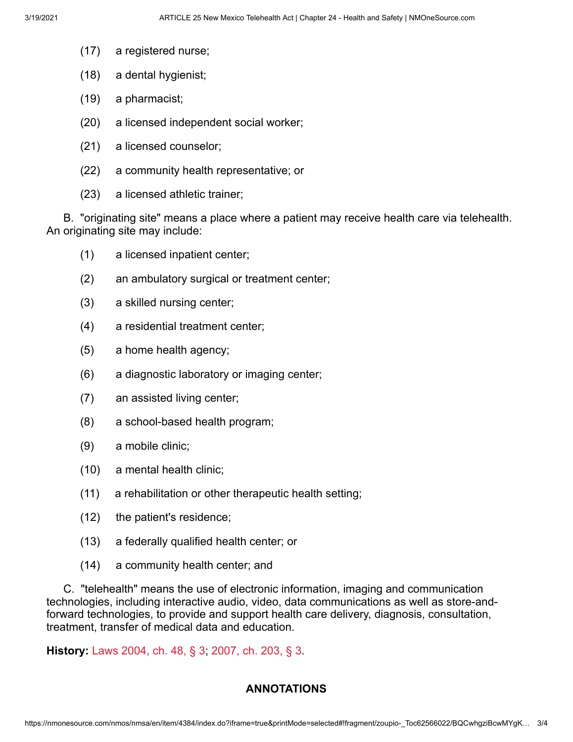- (17) a registered nurse;
- (18) a dental hygienist;
- (19) a pharmacist;
- (20) a licensed independent social worker;
- (21) a licensed counselor;
- (22) a community health representative; or
- (23) a licensed athletic trainer;

B. "originating site" means a place where a patient may receive health care via telehealth. An originating site may include:

- (1) a licensed inpatient center;
- (2) an ambulatory surgical or treatment center;
- (3) a skilled nursing center;
- (4) a residential treatment center;
- (5) a home health agency;
- (6) a diagnostic laboratory or imaging center;
- (7) an assisted living center;
- (8) a school-based health program;
- (9) a mobile clinic;
- (10) a mental health clinic;
- (11) a rehabilitation or other therapeutic health setting;
- (12) the patient's residence;
- (13) a federally qualified health center; or
- (14) a community health center; and

C. "telehealth" means the use of electronic information, imaging and communication technologies, including interactive audio, video, data communications as well as store-andforward technologies, to provide and support health care delivery, diagnosis, consultation, treatment, transfer of medical data and education.

**History:** [Laws 2004, ch. 48, § 3](https://nmonesource.com/nmos/nmsl/en/item/4444/index.do#!b/c48s3); [2007, ch. 203, § 3.](https://nmonesource.com/nmos/nmsl/en/item/4465/index.do#!b/c203s3)

#### **ANNOTATIONS**